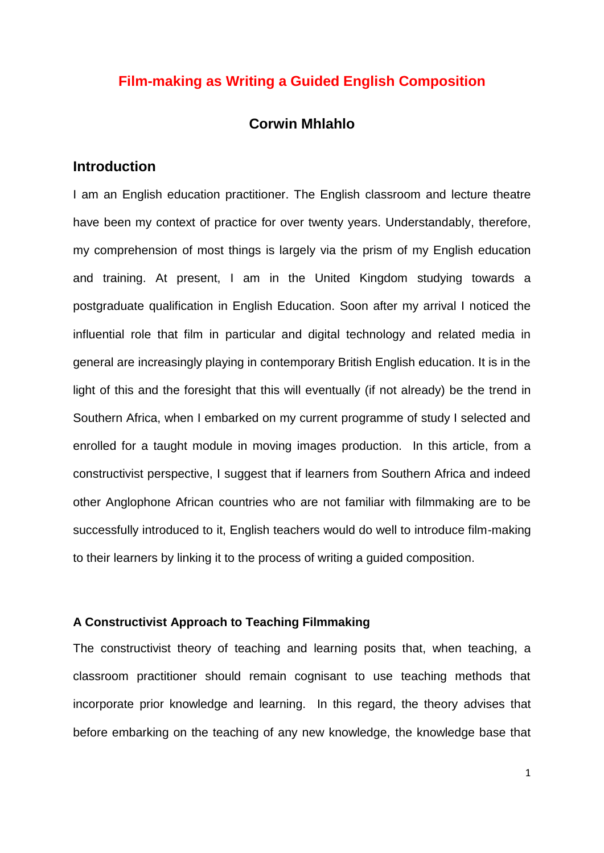## **Film-making as Writing a Guided English Composition**

### **Corwin Mhlahlo**

# **Introduction**

I am an English education practitioner. The English classroom and lecture theatre have been my context of practice for over twenty years. Understandably, therefore, my comprehension of most things is largely via the prism of my English education and training. At present, I am in the United Kingdom studying towards a postgraduate qualification in English Education. Soon after my arrival I noticed the influential role that film in particular and digital technology and related media in general are increasingly playing in contemporary British English education. It is in the light of this and the foresight that this will eventually (if not already) be the trend in Southern Africa, when I embarked on my current programme of study I selected and enrolled for a taught module in moving images production. In this article, from a constructivist perspective, I suggest that if learners from Southern Africa and indeed other Anglophone African countries who are not familiar with filmmaking are to be successfully introduced to it, English teachers would do well to introduce film-making to their learners by linking it to the process of writing a guided composition.

## **A Constructivist Approach to Teaching Filmmaking**

The constructivist theory of teaching and learning posits that, when teaching, a classroom practitioner should remain cognisant to use teaching methods that incorporate prior knowledge and learning. In this regard, the theory advises that before embarking on the teaching of any new knowledge, the knowledge base that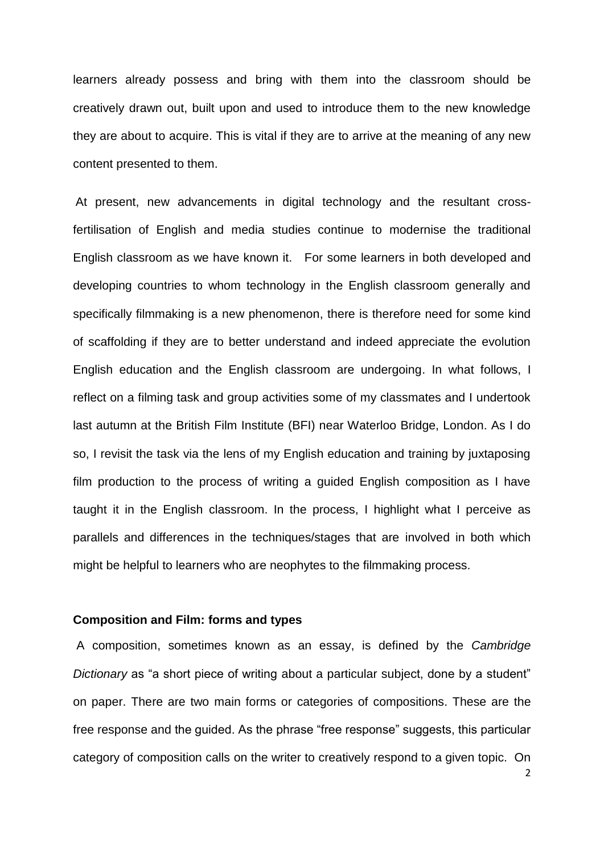learners already possess and bring with them into the classroom should be creatively drawn out, built upon and used to introduce them to the new knowledge they are about to acquire. This is vital if they are to arrive at the meaning of any new content presented to them.

At present, new advancements in digital technology and the resultant crossfertilisation of English and media studies continue to modernise the traditional English classroom as we have known it. For some learners in both developed and developing countries to whom technology in the English classroom generally and specifically filmmaking is a new phenomenon, there is therefore need for some kind of scaffolding if they are to better understand and indeed appreciate the evolution English education and the English classroom are undergoing. In what follows, I reflect on a filming task and group activities some of my classmates and I undertook last autumn at the British Film Institute (BFI) near Waterloo Bridge, London. As I do so, I revisit the task via the lens of my English education and training by juxtaposing film production to the process of writing a guided English composition as I have taught it in the English classroom. In the process, I highlight what I perceive as parallels and differences in the techniques/stages that are involved in both which might be helpful to learners who are neophytes to the filmmaking process.

### **Composition and Film: forms and types**

A composition, sometimes known as an essay, is defined by the *Cambridge Dictionary* as "a short piece of writing about a particular subject, done by a student" on paper. There are two main forms or categories of compositions. These are the free response and the guided. As the phrase "free response" suggests, this particular category of composition calls on the writer to creatively respond to a given topic. On

 $\overline{2}$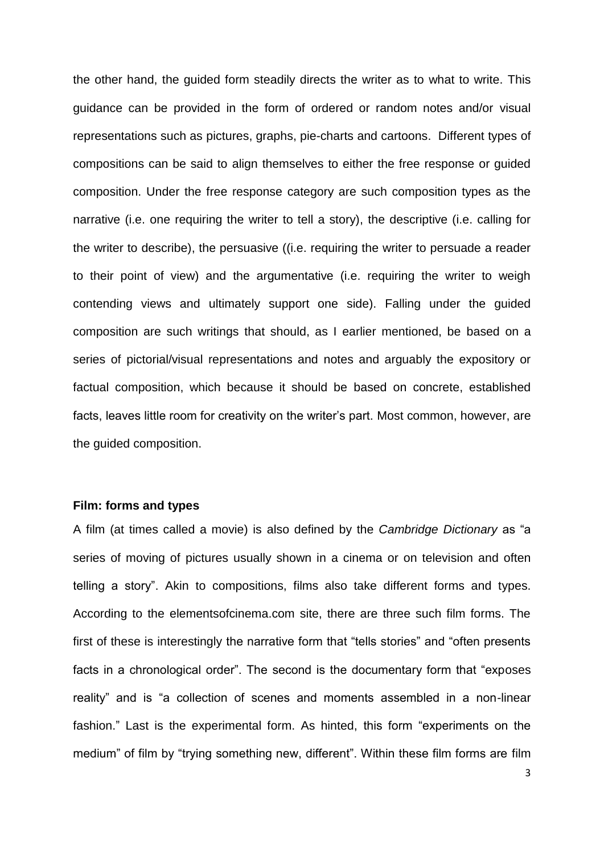the other hand, the guided form steadily directs the writer as to what to write. This guidance can be provided in the form of ordered or random notes and/or visual representations such as pictures, graphs, pie-charts and cartoons. Different types of compositions can be said to align themselves to either the free response or guided composition. Under the free response category are such composition types as the narrative (i.e. one requiring the writer to tell a story), the descriptive (i.e. calling for the writer to describe), the persuasive ((i.e. requiring the writer to persuade a reader to their point of view) and the argumentative (i.e. requiring the writer to weigh contending views and ultimately support one side). Falling under the guided composition are such writings that should, as I earlier mentioned, be based on a series of pictorial/visual representations and notes and arguably the expository or factual composition, which because it should be based on concrete, established facts, leaves little room for creativity on the writer's part. Most common, however, are the guided composition.

## **Film: forms and types**

A film (at times called a movie) is also defined by the *Cambridge Dictionary* as "a series of moving of pictures usually shown in a cinema or on television and often telling a story". Akin to compositions, films also take different forms and types. According to the elementsofcinema.com site, there are three such film forms. The first of these is interestingly the narrative form that "tells stories" and "often presents facts in a chronological order". The second is the documentary form that "exposes reality" and is "a collection of scenes and moments assembled in a non-linear fashion." Last is the experimental form. As hinted, this form "experiments on the medium" of film by "trying something new, different". Within these film forms are film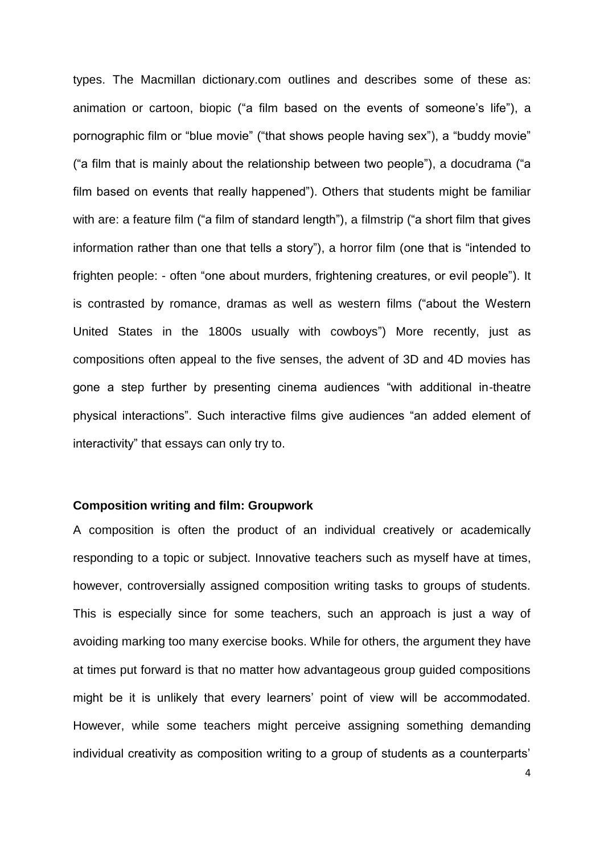types. The Macmillan dictionary.com outlines and describes some of these as: animation or cartoon, biopic ("a film based on the events of someone's life"), a pornographic film or "blue movie" ("that shows people having sex"), a "buddy movie" ("a film that is mainly about the relationship between two people"), a docudrama ("a film based on events that really happened"). Others that students might be familiar with are: a feature film ("a film of standard length"), a filmstrip ("a short film that gives information rather than one that tells a story"), a horror film (one that is "intended to frighten people: - often "one about murders, frightening creatures, or evil people"). It is contrasted by romance, dramas as well as western films ("about the Western United States in the 1800s usually with cowboys") More recently, just as compositions often appeal to the five senses, the advent of 3D and 4D movies has gone a step further by presenting cinema audiences "with additional in-theatre physical interactions". Such interactive films give audiences "an added element of interactivity" that essays can only try to.

### **Composition writing and film: Groupwork**

A composition is often the product of an individual creatively or academically responding to a topic or subject. Innovative teachers such as myself have at times, however, controversially assigned composition writing tasks to groups of students. This is especially since for some teachers, such an approach is just a way of avoiding marking too many exercise books. While for others, the argument they have at times put forward is that no matter how advantageous group guided compositions might be it is unlikely that every learners' point of view will be accommodated. However, while some teachers might perceive assigning something demanding individual creativity as composition writing to a group of students as a counterparts'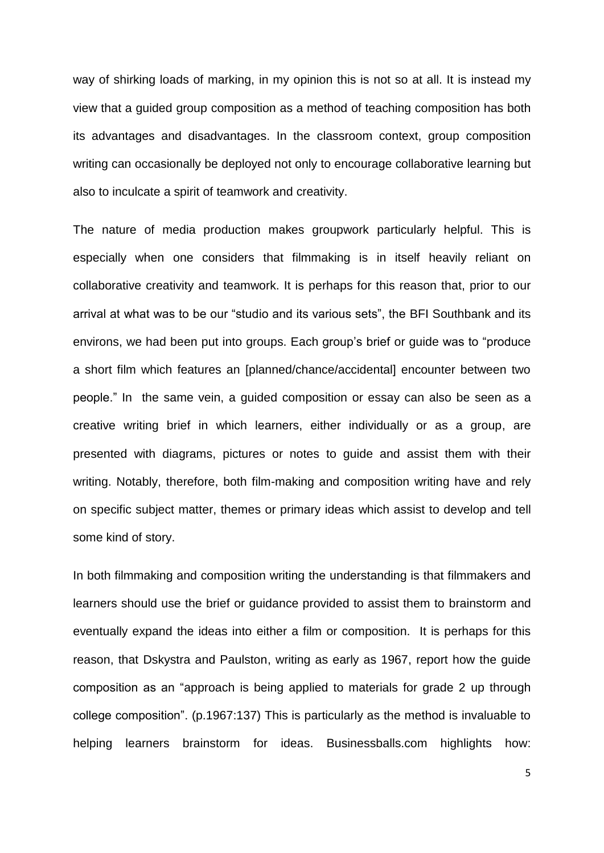way of shirking loads of marking, in my opinion this is not so at all. It is instead my view that a guided group composition as a method of teaching composition has both its advantages and disadvantages. In the classroom context, group composition writing can occasionally be deployed not only to encourage collaborative learning but also to inculcate a spirit of teamwork and creativity.

The nature of media production makes groupwork particularly helpful. This is especially when one considers that filmmaking is in itself heavily reliant on collaborative creativity and teamwork. It is perhaps for this reason that, prior to our arrival at what was to be our "studio and its various sets", the BFI Southbank and its environs, we had been put into groups. Each group's brief or guide was to "produce a short film which features an [planned/chance/accidental] encounter between two people." In the same vein, a guided composition or essay can also be seen as a creative writing brief in which learners, either individually or as a group, are presented with diagrams, pictures or notes to guide and assist them with their writing. Notably, therefore, both film-making and composition writing have and rely on specific subject matter, themes or primary ideas which assist to develop and tell some kind of story.

In both filmmaking and composition writing the understanding is that filmmakers and learners should use the brief or guidance provided to assist them to brainstorm and eventually expand the ideas into either a film or composition. It is perhaps for this reason, that Dskystra and Paulston, writing as early as 1967, report how the guide composition as an "approach is being applied to materials for grade 2 up through college composition". (p.1967:137) This is particularly as the method is invaluable to helping learners brainstorm for ideas. Businessballs.com highlights how: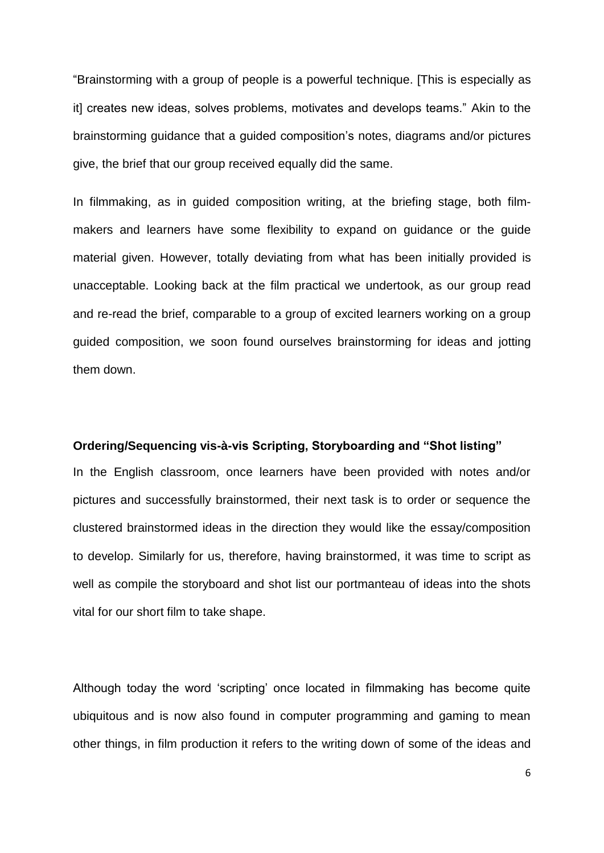"Brainstorming with a group of people is a powerful technique. [This is especially as it] creates new ideas, solves problems, motivates and develops teams." Akin to the brainstorming guidance that a guided composition's notes, diagrams and/or pictures give, the brief that our group received equally did the same.

In filmmaking, as in guided composition writing, at the briefing stage, both filmmakers and learners have some flexibility to expand on guidance or the guide material given. However, totally deviating from what has been initially provided is unacceptable. Looking back at the film practical we undertook, as our group read and re-read the brief, comparable to a group of excited learners working on a group guided composition, we soon found ourselves brainstorming for ideas and jotting them down.

## **Ordering/Sequencing vis-à-vis Scripting, Storyboarding and "Shot listing"**

In the English classroom, once learners have been provided with notes and/or pictures and successfully brainstormed, their next task is to order or sequence the clustered brainstormed ideas in the direction they would like the essay/composition to develop. Similarly for us, therefore, having brainstormed, it was time to script as well as compile the storyboard and shot list our portmanteau of ideas into the shots vital for our short film to take shape.

Although today the word 'scripting' once located in filmmaking has become quite ubiquitous and is now also found in computer programming and gaming to mean other things, in film production it refers to the writing down of some of the ideas and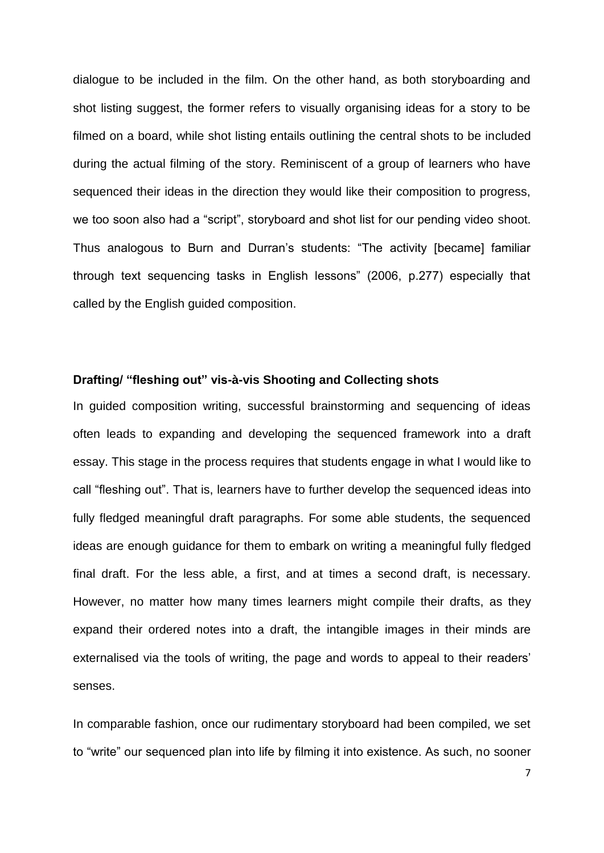dialogue to be included in the film. On the other hand, as both storyboarding and shot listing suggest, the former refers to visually organising ideas for a story to be filmed on a board, while shot listing entails outlining the central shots to be included during the actual filming of the story. Reminiscent of a group of learners who have sequenced their ideas in the direction they would like their composition to progress, we too soon also had a "script", storyboard and shot list for our pending video shoot. Thus analogous to Burn and Durran's students: "The activity [became] familiar through text sequencing tasks in English lessons" (2006, p.277) especially that called by the English guided composition.

## **Drafting/ "fleshing out" vis-à-vis Shooting and Collecting shots**

In guided composition writing, successful brainstorming and sequencing of ideas often leads to expanding and developing the sequenced framework into a draft essay. This stage in the process requires that students engage in what I would like to call "fleshing out". That is, learners have to further develop the sequenced ideas into fully fledged meaningful draft paragraphs. For some able students, the sequenced ideas are enough guidance for them to embark on writing a meaningful fully fledged final draft. For the less able, a first, and at times a second draft, is necessary. However, no matter how many times learners might compile their drafts, as they expand their ordered notes into a draft, the intangible images in their minds are externalised via the tools of writing, the page and words to appeal to their readers' senses.

In comparable fashion, once our rudimentary storyboard had been compiled, we set to "write" our sequenced plan into life by filming it into existence. As such, no sooner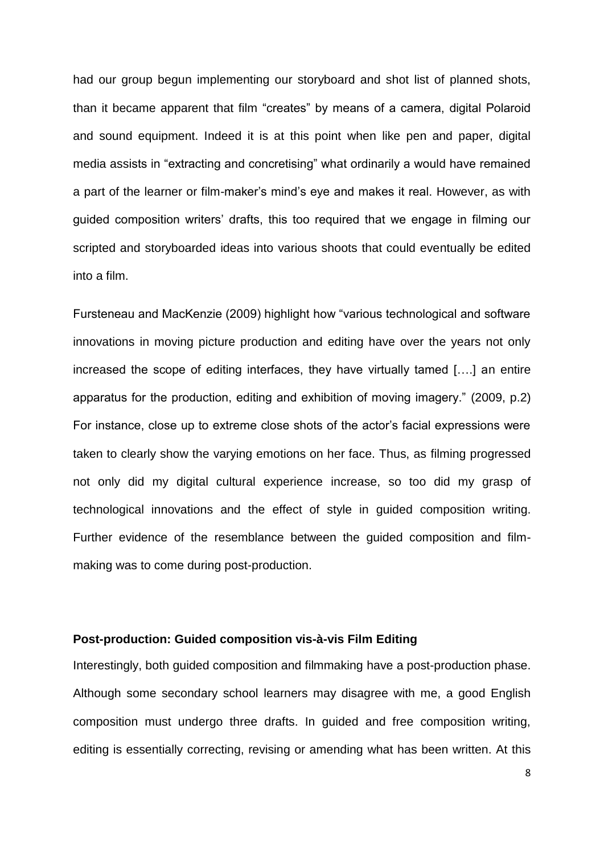had our group begun implementing our storyboard and shot list of planned shots, than it became apparent that film "creates" by means of a camera, digital Polaroid and sound equipment. Indeed it is at this point when like pen and paper, digital media assists in "extracting and concretising" what ordinarily a would have remained a part of the learner or film-maker's mind's eye and makes it real. However, as with guided composition writers' drafts, this too required that we engage in filming our scripted and storyboarded ideas into various shoots that could eventually be edited into a film.

Fursteneau and MacKenzie (2009) highlight how "various technological and software innovations in moving picture production and editing have over the years not only increased the scope of editing interfaces, they have virtually tamed [….] an entire apparatus for the production, editing and exhibition of moving imagery." (2009, p.2) For instance, close up to extreme close shots of the actor's facial expressions were taken to clearly show the varying emotions on her face. Thus, as filming progressed not only did my digital cultural experience increase, so too did my grasp of technological innovations and the effect of style in guided composition writing. Further evidence of the resemblance between the guided composition and filmmaking was to come during post-production.

# **Post-production: Guided composition vis-à-vis Film Editing**

Interestingly, both guided composition and filmmaking have a post-production phase. Although some secondary school learners may disagree with me, a good English composition must undergo three drafts. In guided and free composition writing, editing is essentially correcting, revising or amending what has been written. At this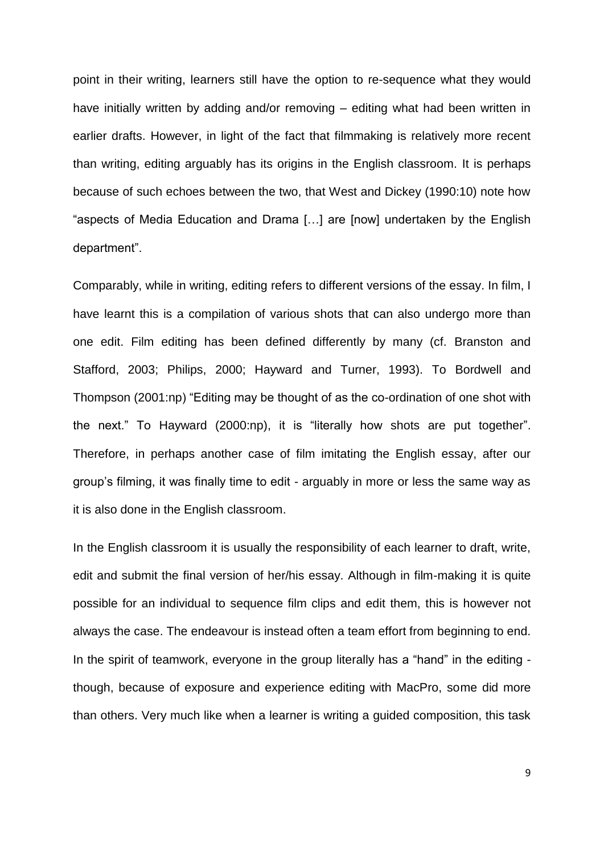point in their writing, learners still have the option to re-sequence what they would have initially written by adding and/or removing – editing what had been written in earlier drafts. However, in light of the fact that filmmaking is relatively more recent than writing, editing arguably has its origins in the English classroom. It is perhaps because of such echoes between the two, that West and Dickey (1990:10) note how "aspects of Media Education and Drama […] are [now] undertaken by the English department".

Comparably, while in writing, editing refers to different versions of the essay. In film, I have learnt this is a compilation of various shots that can also undergo more than one edit. Film editing has been defined differently by many (cf. Branston and Stafford, 2003; Philips, 2000; Hayward and Turner, 1993). To Bordwell and Thompson (2001:np) "Editing may be thought of as the co-ordination of one shot with the next." To Hayward (2000:np), it is "literally how shots are put together". Therefore, in perhaps another case of film imitating the English essay, after our group's filming, it was finally time to edit - arguably in more or less the same way as it is also done in the English classroom.

In the English classroom it is usually the responsibility of each learner to draft, write, edit and submit the final version of her/his essay. Although in film-making it is quite possible for an individual to sequence film clips and edit them, this is however not always the case. The endeavour is instead often a team effort from beginning to end. In the spirit of teamwork, everyone in the group literally has a "hand" in the editing though, because of exposure and experience editing with MacPro, some did more than others. Very much like when a learner is writing a guided composition, this task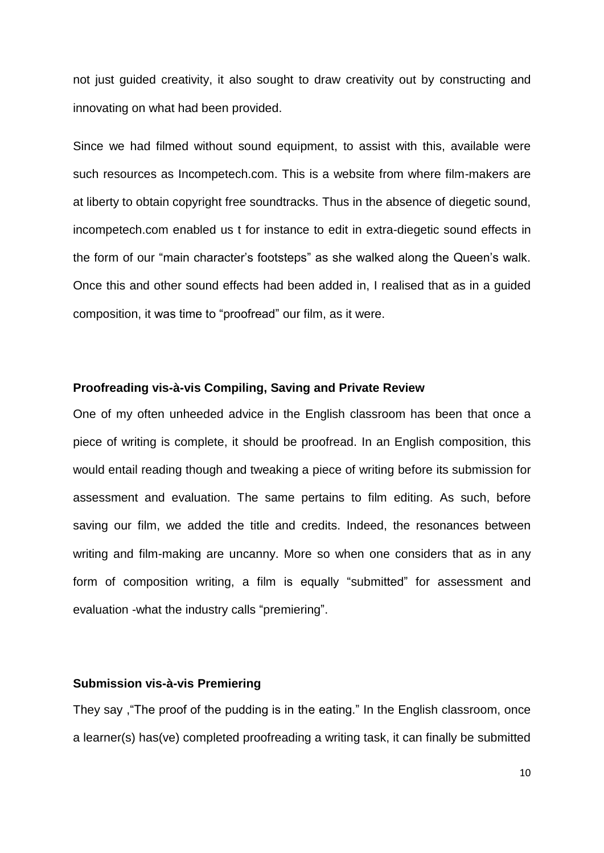not just guided creativity, it also sought to draw creativity out by constructing and innovating on what had been provided.

Since we had filmed without sound equipment, to assist with this, available were such resources as Incompetech.com. This is a website from where film-makers are at liberty to obtain copyright free soundtracks. Thus in the absence of diegetic sound, incompetech.com enabled us t for instance to edit in extra-diegetic sound effects in the form of our "main character's footsteps" as she walked along the Queen's walk. Once this and other sound effects had been added in, I realised that as in a guided composition, it was time to "proofread" our film, as it were.

### **Proofreading vis-à-vis Compiling, Saving and Private Review**

One of my often unheeded advice in the English classroom has been that once a piece of writing is complete, it should be proofread. In an English composition, this would entail reading though and tweaking a piece of writing before its submission for assessment and evaluation. The same pertains to film editing. As such, before saving our film, we added the title and credits. Indeed, the resonances between writing and film-making are uncanny. More so when one considers that as in any form of composition writing, a film is equally "submitted" for assessment and evaluation -what the industry calls "premiering".

## **Submission vis-à-vis Premiering**

They say ,"The proof of the pudding is in the eating." In the English classroom, once a learner(s) has(ve) completed proofreading a writing task, it can finally be submitted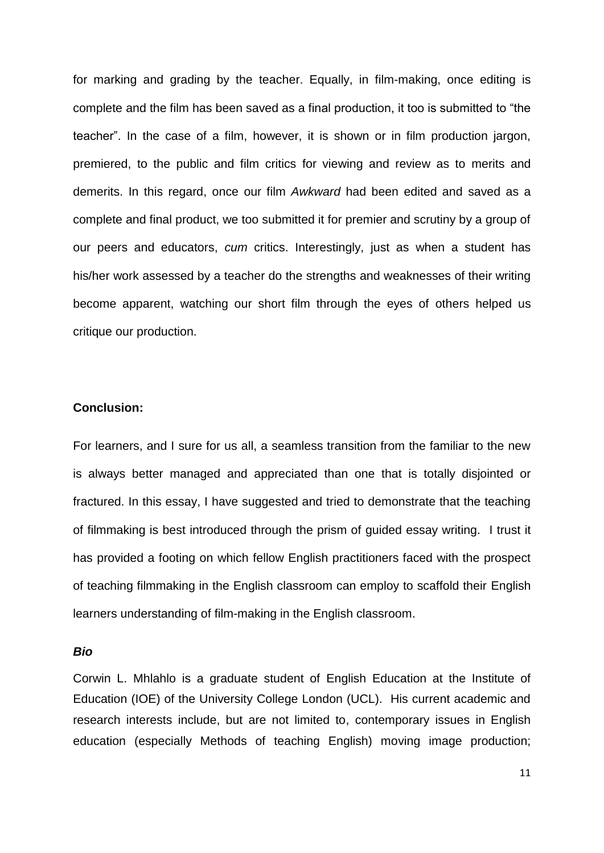for marking and grading by the teacher. Equally, in film-making, once editing is complete and the film has been saved as a final production, it too is submitted to "the teacher". In the case of a film, however, it is shown or in film production jargon, premiered, to the public and film critics for viewing and review as to merits and demerits. In this regard, once our film *Awkward* had been edited and saved as a complete and final product, we too submitted it for premier and scrutiny by a group of our peers and educators, *cum* critics. Interestingly, just as when a student has his/her work assessed by a teacher do the strengths and weaknesses of their writing become apparent, watching our short film through the eyes of others helped us critique our production.

### **Conclusion:**

For learners, and I sure for us all, a seamless transition from the familiar to the new is always better managed and appreciated than one that is totally disjointed or fractured. In this essay, I have suggested and tried to demonstrate that the teaching of filmmaking is best introduced through the prism of guided essay writing. I trust it has provided a footing on which fellow English practitioners faced with the prospect of teaching filmmaking in the English classroom can employ to scaffold their English learners understanding of film-making in the English classroom.

#### *Bio*

Corwin L. Mhlahlo is a graduate student of English Education at the Institute of Education (IOE) of the University College London (UCL). His current academic and research interests include, but are not limited to, contemporary issues in English education (especially Methods of teaching English) moving image production;